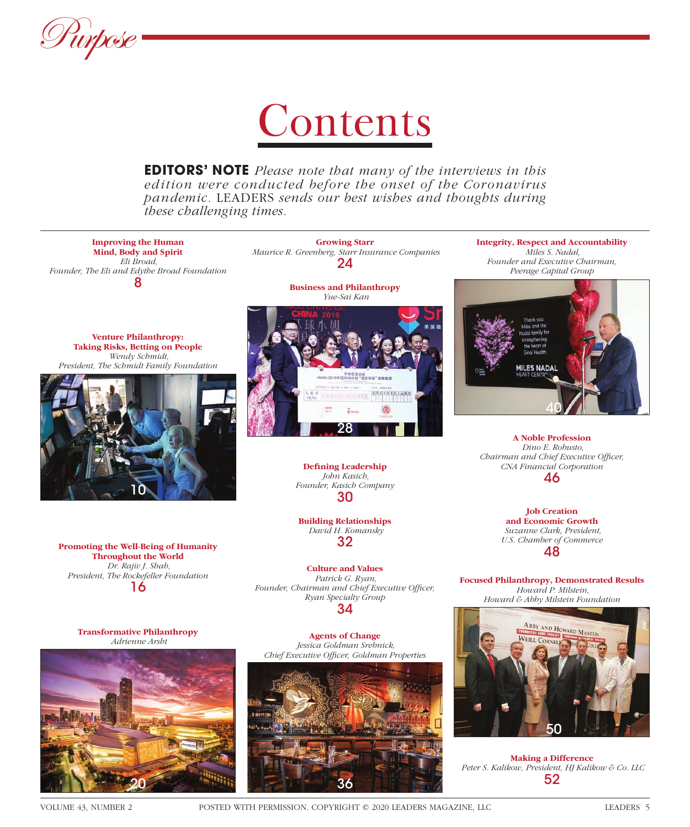

# **Contents**

**EDITORS' NOTE** *Please note that many of the interviews in this edition were conducted before the onset of the Coronavirus pandemic.* LEADERS *sends our best wishes and thoughts during these challenging times.*



 *Maurice R. Greenberg, Starr Insurance Companies* 24

**Business and Philanthropy**

**Growing Starr** 

**Venture Philanthropy: Taking Risks, Betting on People**  *Wendy Schmidt, President, The Schmidt Family Foundation*



**Promoting the Well-Being of Humanity Throughout the World**  *Dr. Rajiv J. Shah, President, The Rockefeller Foundation* 16

 *Yue-Sai Kan* 万千百十九角分 28

> **Defining Leadership**  *John Kasich, Founder, Kasich Company* 30

**Building Relationships**  *David H. Komansky* 32

**Culture and Values**  *Patrick G. Ryan,*  Founder, Chairman and Chief Executive Officer, *Ryan Specialty Group* 34

**Transformative Philanthropy**  *Adrienne Arsht*



**Agents of Change**  *Jessica Goldman Srebnick, Chief Executive Offi cer, Goldman Properties*



**Integrity, Respect and Accountability**  *Miles S. Nadal, Founder and Executive Chairman, Peerage Capital Group* 



**A Noble Profession**  *Dino E. Robusto, Chairman and Chief Executive Officer, CNA Financial Corporation* 46

> **Job Creation and Economic Growth**  *Suzanne Clark, President, U.S. Chamber of Commerce* 48

**Focused Philanthropy, Demonstrated Results**  *Howard P. Milstein, Howard & Abby Milstein Foundation*



**Making a Difference**  *Peter S. Kalikow, President, HJ Kalikow & Co. LLC* 52

VOLUME 43, NUMBER 2 POSTED WITH PERMISSION. COPYRIGHT © 2020 LEADERS MAGAZINE, LLC LEADERS 5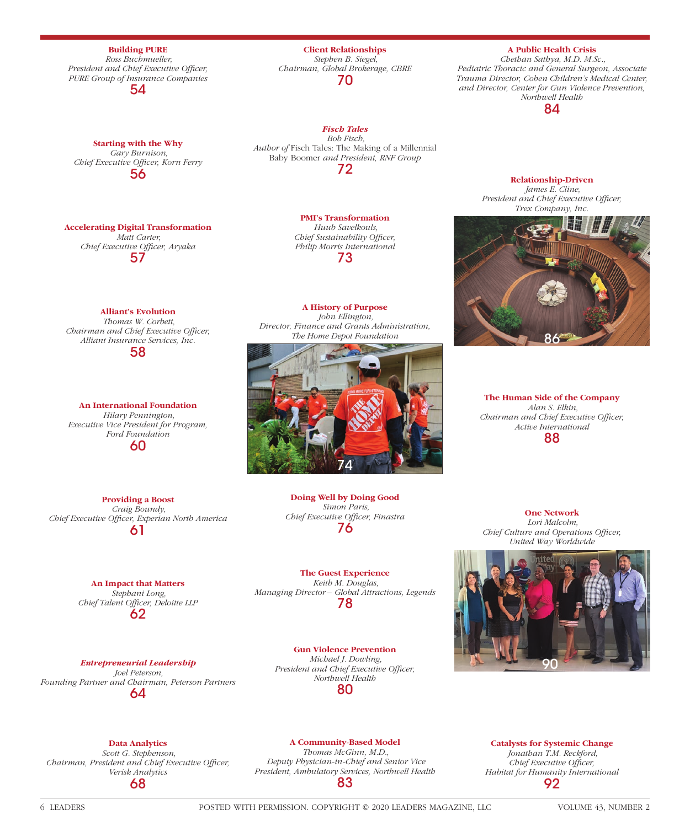**Building PURE**  *Ross Buchmueller, President and Chief Executive Officer, PURE Group of Insurance Companies* 54

**Starting with the Why**  *Gary Burnison, Chief Executive Officer, Korn Ferry* 56

## **Accelerating Digital Transformation**  *Matt Carter,*

*Chief Executive Offi cer, Aryaka* 57

# **Alliant's Evolution**

 *Thomas W. Corbett, Chairman and Chief Executive Officer, Alliant Insurance Services, Inc.* 58

**An International Foundation**  *Hilary Pennington, Executive Vice President for Program, Ford Foundation* 60

**Providing a Boost**  *Craig Boundy,*  Chief Executive Officer, Experian North America 61

> **An Impact that Matters**  *Stephani Long,*  Chief Talent Officer, Deloitte LLP

62

*Entrepreneurial Leadership Joel Peterson, Founding Partner and Chairman, Peterson Partners* 64

**Client Relationships**  *Stephen B. Siegel, Chairman, Global Brokerage, CBRE* 70

*Fisch Tales Bob Fisch, Author of* Fisch Tales: The Making of a Millennial Baby Boomer *and President, RNF Group* 72

> **PMI's Transformation**   *Huub Savelkouls, Chief Sustainability Officer, Philip Morris International* 73

**A History of Purpose**   *John Ellington, Director, Finance and Grants Administration, The Home Depot Foundation*



**Doing Well by Doing Good**  *Simon Paris,*  **Chief Executive Officer, Finastra** 76

**The Guest Experience**  *Keith M. Douglas, Managing Director – Global Attractions, Legends* 78

**Gun Violence Prevention**  *Michael J. Dowling,*  President and Chief Executive Officer, *Northwell Health* 80

**One Network**   *Lori Malcolm, Chief Culture and Operations Officer,* 



**A Public Health Crisis**  *Chethan Sathya, M.D. M.Sc., Pediatric Thoracic and General Surgeon, Associate Trauma Director, Cohen Children's Medical Center, and Director, Center for Gun Violence Prevention, Northwell Health* 84

> **Relationship-Driven**  *James E. Cline,*  **President and Chief Executive Officer,** *Trex Company, Inc.*



 *Alan S. Elkin, Chairman and Chief Executive Officer, Active International* 88

**The Human Side of the Company**

**Data Analytics**   *Scott G. Stephenson,* 

*Chairman, President and Chief Executive Officer, Verisk Analytics* 68

**A Community-Based Model** 

 *Thomas McGinn, M.D., Deputy Physician-in-Chief and Senior Vice President, Ambulatory Services, Northwell Health* 83

**Catalysts for Systemic Change**  *Jonathan T.M. Reckford, Chief Executive Officer, Habitat for Humanity International* 92

6 LEADERS POSTED WITH PERMISSION. COPYRIGHT © 2020 LEADERS MAGAZINE, LLC VOLUME 43, NUMBER 2